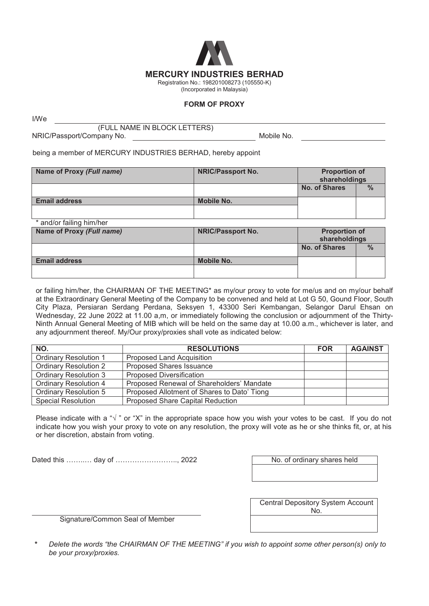

## **FORM OF PROXY**

I/We

(FULL NAME IN BLOCK LETTERS)

NRIC/Passport/Company No. **Mobile No.** Mobile No.

being a member of MERCURY INDUSTRIES BERHAD, hereby appoint

| Name of Proxy (Full name) | <b>NRIC/Passport No.</b> | <b>Proportion of</b><br>shareholdings |               |
|---------------------------|--------------------------|---------------------------------------|---------------|
|                           |                          | <b>No. of Shares</b>                  | $\frac{0}{0}$ |
| <b>Email address</b>      | Mobile No.               |                                       |               |
|                           |                          |                                       |               |

\* and/or failing him/her

| Name of Proxy (Full name) | <b>NRIC/Passport No.</b> | <b>Proportion of</b><br>shareholdings |               |
|---------------------------|--------------------------|---------------------------------------|---------------|
|                           |                          | <b>No. of Shares</b>                  | $\frac{9}{6}$ |
| <b>Email address</b>      | Mobile No.               |                                       |               |

or failing him/her, the CHAIRMAN OF THE MEETING\* as my/our proxy to vote for me/us and on my/our behalf at the Extraordinary General Meeting of the Company to be convened and held at Lot G 50, Gound Floor, South City Plaza, Persiaran Serdang Perdana, Seksyen 1, 43300 Seri Kembangan, Selangor Darul Ehsan on Wednesday, 22 June 2022 at 11.00 a,m, or immediately following the conclusion or adjournment of the Thirty-Ninth Annual General Meeting of MIB which will be held on the same day at 10.00 a.m., whichever is later, and any adjournment thereof. My/Our proxy/proxies shall vote as indicated below:

| NO.                          | <b>RESOLUTIONS</b>                          | <b>FOR</b> | <b>AGAINST</b> |
|------------------------------|---------------------------------------------|------------|----------------|
| <b>Ordinary Resolution 1</b> | <b>Proposed Land Acquisition</b>            |            |                |
| <b>Ordinary Resolution 2</b> | <b>Proposed Shares Issuance</b>             |            |                |
| <b>Ordinary Resolution 3</b> | <b>Proposed Diversification</b>             |            |                |
| Ordinary Resolution 4        | Proposed Renewal of Shareholders' Mandate   |            |                |
| <b>Ordinary Resolution 5</b> | Proposed Allotment of Shares to Dato' Tiong |            |                |
| <b>Special Resolution</b>    | <b>Proposed Share Capital Reduction</b>     |            |                |

Please indicate with a " $\sqrt{ }$ " or "X" in the appropriate space how you wish your votes to be cast. If you do not indicate how you wish your proxy to vote on any resolution, the proxy will vote as he or she thinks fit, or, at his or her discretion, abstain from voting.

Dated this ……..… day of …………………….., 2022 No. of ordinary shares held

Signature/Common Seal of Member

| <b>Central Depository System Account</b> |
|------------------------------------------|
| No.                                      |
|                                          |

**\*** *Delete the words "the CHAIRMAN OF THE MEETING" if you wish to appoint some other person(s) only to be your proxy/proxies.*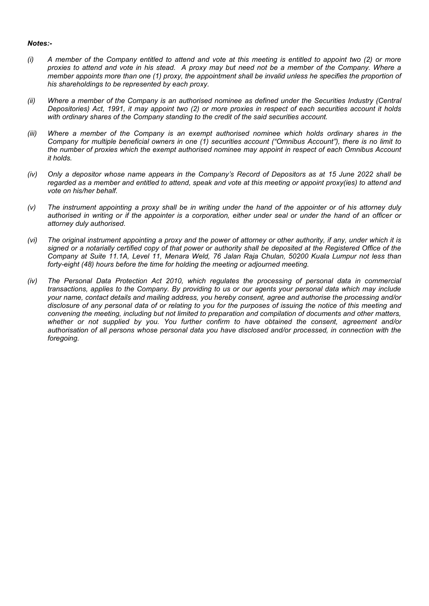## *Notes:-*

- *(i) A member of the Company entitled to attend and vote at this meeting is entitled to appoint two (2) or more proxies to attend and vote in his stead. A proxy may but need not be a member of the Company. Where a member appoints more than one (1) proxy, the appointment shall be invalid unless he specifies the proportion of his shareholdings to be represented by each proxy.*
- *(ii)* Where a member of the Company is an authorised nominee as defined under the Securities Industry (Central *Depositories) Act, 1991, it may appoint two (2) or more proxies in respect of each securities account it holds with ordinary shares of the Company standing to the credit of the said securities account.*
- *(iii) Where a member of the Company is an exempt authorised nominee which holds ordinary shares in the Company for multiple beneficial owners in one (1) securities account ("Omnibus Account"), there is no limit to the number of proxies which the exempt authorised nominee may appoint in respect of each Omnibus Account it holds.*
- *(iv) Only a depositor whose name appears in the Company's Record of Depositors as at 15 June 2022 shall be regarded as a member and entitled to attend, speak and vote at this meeting or appoint proxy(ies) to attend and vote on his/her behalf.*
- *(v) The instrument appointing a proxy shall be in writing under the hand of the appointer or of his attorney duly authorised in writing or if the appointer is a corporation, either under seal or under the hand of an officer or attorney duly authorised.*
- *(vi) The original instrument appointing a proxy and the power of attorney or other authority, if any, under which it is signed or a notarially certified copy of that power or authority shall be deposited at the Registered Office of the Company at Suite 11.1A, Level 11, Menara Weld, 76 Jalan Raja Chulan, 50200 Kuala Lumpur not less than forty-eight (48) hours before the time for holding the meeting or adjourned meeting.*
- *(iv) The Personal Data Protection Act 2010, which regulates the processing of personal data in commercial transactions, applies to the Company. By providing to us or our agents your personal data which may include your name, contact details and mailing address, you hereby consent, agree and authorise the processing and/or disclosure of any personal data of or relating to you for the purposes of issuing the notice of this meeting and convening the meeting, including but not limited to preparation and compilation of documents and other matters, whether or not supplied by you. You further confirm to have obtained the consent, agreement and/or authorisation of all persons whose personal data you have disclosed and/or processed, in connection with the foregoing.*